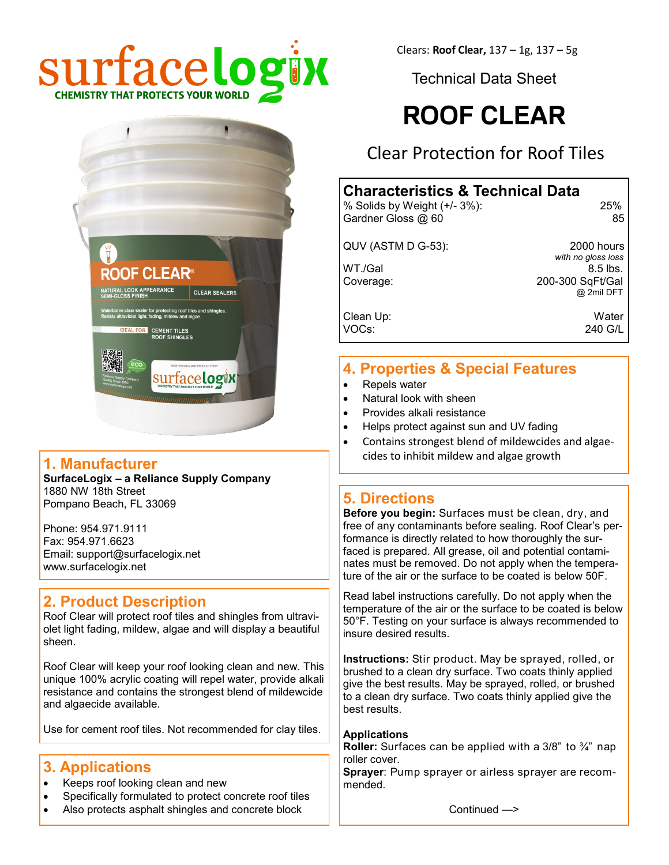

Clears: **Roof Clear,** 137 – 1g, 137 – 5g

Technical Data Sheet

# **ROOF CLEAR**

Clear Protection for Roof Tiles

#### **Characteristics & Technical Data** % Solids by Weight (+/- 3%): 25%

Gardner Gloss @ 60 85

QUV (ASTM D G-53): 2000 hours

 *with no gloss loss*  $WT./Gal$  8.5 lbs. Coverage: 200-300 SqFt/Gal @ 2mil DFT

Clean Up: Water VOCs: 240 G/L

#### **4. Properties & Special Features**

- Repels water
- Natural look with sheen
- Provides alkali resistance
- Helps protect against sun and UV fading
- Contains strongest blend of mildewcides and algaecides to inhibit mildew and algae growth

#### **5. Directions**

**Before you begin:** Surfaces must be clean, dry, and free of any contaminants before sealing. Roof Clear's performance is directly related to how thoroughly the surfaced is prepared. All grease, oil and potential contaminates must be removed. Do not apply when the temperature of the air or the surface to be coated is below 50F.

Read label instructions carefully. Do not apply when the temperature of the air or the surface to be coated is below 50°F. Testing on your surface is always recommended to insure desired results.

**Instructions:** Stir product. May be sprayed, rolled, or brushed to a clean dry surface. Two coats thinly applied give the best results. May be sprayed, rolled, or brushed to a clean dry surface. Two coats thinly applied give the best results.

#### **Applications**

**Roller:** Surfaces can be applied with a 3/8" to ¾" nap roller cover.

**Sprayer**: Pump sprayer or airless sprayer are recommended.

Continued —>

# **1. Manufacturer**

**SurfaceLogix – a Reliance Supply Company** 1880 NW 18th Street Pompano Beach, FL 33069

**CLEAR** 

**CEMENT TILES** 

surface**logix** 

CLEAR SEALERS

Phone: 954.971.9111 Fax: 954.971.6623 Email: support@surfacelogix.net www.surfacelogix.net

#### **2. Product Description**

Roof Clear will protect roof tiles and shingles from ultraviolet light fading, mildew, algae and will display a beautiful sheen.

Roof Clear will keep your roof looking clean and new. This unique 100% acrylic coating will repel water, provide alkali resistance and contains the strongest blend of mildewcide and algaecide available.

Use for cement roof tiles. Not recommended for clay tiles.

#### **3. Applications**

- Keeps roof looking clean and new
- Specifically formulated to protect concrete roof tiles
- Also protects asphalt shingles and concrete block